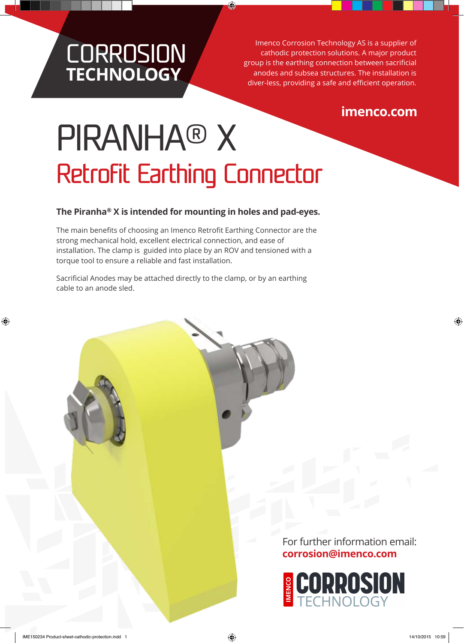# **CORROSION TECHNOLOGY**

Imenco Corrosion Technology AS is a supplier of cathodic protection solutions. A major product group is the earthing connection between sacrificial anodes and subsea structures. The installation is diver-less, providing a safe and efficient operation.

# **imenco.com**

# PIRANHA® X Retrofit Earthing Connector

## **The Piranha® X is intended for mounting in holes and pad-eyes.**

The main benefits of choosing an Imenco Retrofit Earthing Connector are the strong mechanical hold, excellent electrical connection, and ease of installation. The clamp is guided into place by an ROV and tensioned with a torque tool to ensure a reliable and fast installation.

Sacrificial Anodes may be attached directly to the clamp, or by an earthing cable to an anode sled.

> For further information email: **corrosion@imenco.com**